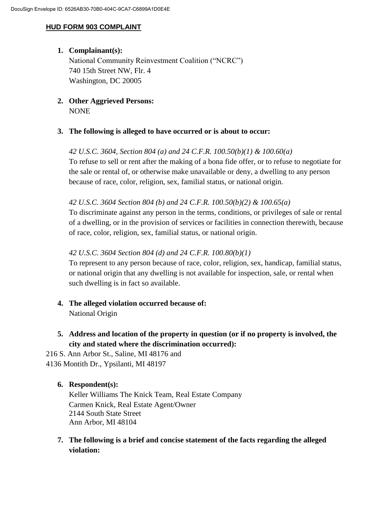## **HUD FORM 903 COMPLAINT**

# **1. Complainant(s):**

National Community Reinvestment Coalition ("NCRC") 740 15th Street NW, Flr. 4 Washington, DC 20005

**2. Other Aggrieved Persons:** NONE

## **3. The following is alleged to have occurred or is about to occur:**

#### *42 U.S.C. 3604, Section 804 (a) and 24 C.F.R. 100.50(b)(1) & 100.60(a)*

To refuse to sell or rent after the making of a bona fide offer, or to refuse to negotiate for the sale or rental of, or otherwise make unavailable or deny, a dwelling to any person because of race, color, religion, sex, familial status, or national origin.

## *42 U.S.C. 3604 Section 804 (b) and 24 C.F.R. 100.50(b)(2) & 100.65(a)*

To discriminate against any person in the terms, conditions, or privileges of sale or rental of a dwelling, or in the provision of services or facilities in connection therewith, because of race, color, religion, sex, familial status, or national origin.

## *42 U.S.C. 3604 Section 804 (d) and 24 C.F.R. 100.80(b)(1)*

To represent to any person because of race, color, religion, sex, handicap, familial status, or national origin that any dwelling is not available for inspection, sale, or rental when such dwelling is in fact so available.

- **4. The alleged violation occurred because of:**  National Origin
- **5. Address and location of the property in question (or if no property is involved, the city and stated where the discrimination occurred):**

216 S. Ann Arbor St., Saline, MI 48176 and 4136 Montith Dr., Ypsilanti, MI 48197

## **6. Respondent(s):**

Keller Williams The Knick Team, Real Estate Company Carmen Knick, Real Estate Agent/Owner 2144 South State Street Ann Arbor, MI 48104

**7. The following is a brief and concise statement of the facts regarding the alleged violation:**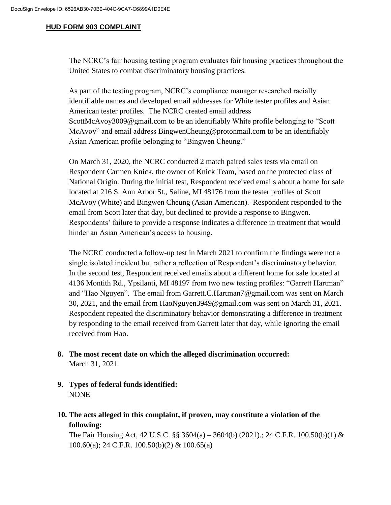#### **HUD FORM 903 COMPLAINT**

The NCRC's fair housing testing program evaluates fair housing practices throughout the United States to combat discriminatory housing practices.

As part of the testing program, NCRC's compliance manager researched racially identifiable names and developed email addresses for White tester profiles and Asian American tester profiles. The NCRC created email address ScottMcAvoy3009@gmail.com to be an identifiably White profile belonging to "Scott McAvoy" and email address BingwenCheung@protonmail.com to be an identifiably Asian American profile belonging to "Bingwen Cheung."

On March 31, 2020, the NCRC conducted 2 match paired sales tests via email on Respondent Carmen Knick, the owner of Knick Team, based on the protected class of National Origin. During the initial test, Respondent received emails about a home for sale located at 216 S. Ann Arbor St., Saline, MI 48176 from the tester profiles of Scott McAvoy (White) and Bingwen Cheung (Asian American). Respondent responded to the email from Scott later that day, but declined to provide a response to Bingwen. Respondents' failure to provide a response indicates a difference in treatment that would hinder an Asian American's access to housing.

The NCRC conducted a follow-up test in March 2021 to confirm the findings were not a single isolated incident but rather a reflection of Respondent's discriminatory behavior. In the second test, Respondent received emails about a different home for sale located at 4136 Montith Rd., Ypsilanti, MI 48197 from two new testing profiles: "Garrett Hartman" and "Hao Nguyen". The email from Garrett.C.Hartman7@gmail.com was sent on March 30, 2021, and the email from HaoNguyen3949@gmail.com was sent on March 31, 2021. Respondent repeated the discriminatory behavior demonstrating a difference in treatment by responding to the email received from Garrett later that day, while ignoring the email received from Hao.

- **8. The most recent date on which the alleged discrimination occurred:**  March 31, 2021
- **9. Types of federal funds identified:**  NONE
- **10. The acts alleged in this complaint, if proven, may constitute a violation of the following:**

The Fair Housing Act, 42 U.S.C. §§ 3604(a) – 3604(b) (2021).; 24 C.F.R. 100.50(b)(1) & 100.60(a); 24 C.F.R. 100.50(b)(2) & 100.65(a)